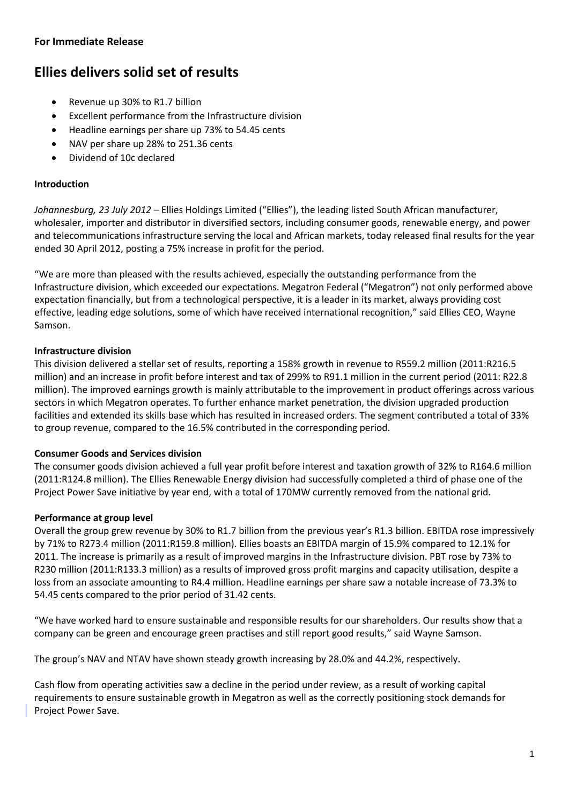## **For Immediate Release**

# **Ellies delivers solid set of results**

- Revenue up 30% to R1.7 billion
- Excellent performance from the Infrastructure division
- Headline earnings per share up 73% to 54.45 cents
- NAV per share up 28% to 251.36 cents
- Dividend of 10c declared

#### **Introduction**

*Johannesburg, 23 July 2012 –* Ellies Holdings Limited ("Ellies"), the leading listed South African manufacturer, wholesaler, importer and distributor in diversified sectors, including consumer goods, renewable energy, and power and telecommunications infrastructure serving the local and African markets, today released final results for the year ended 30 April 2012, posting a 75% increase in profit for the period.

"We are more than pleased with the results achieved, especially the outstanding performance from the Infrastructure division, which exceeded our expectations. Megatron Federal ("Megatron") not only performed above expectation financially, but from a technological perspective, it is a leader in its market, always providing cost effective, leading edge solutions, some of which have received international recognition," said Ellies CEO, Wayne Samson.

### **Infrastructure division**

This division delivered a stellar set of results, reporting a 158% growth in revenue to R559.2 million (2011:R216.5 million) and an increase in profit before interest and tax of 299% to R91.1 million in the current period (2011: R22.8 million). The improved earnings growth is mainly attributable to the improvement in product offerings across various sectors in which Megatron operates. To further enhance market penetration, the division upgraded production facilities and extended its skills base which has resulted in increased orders. The segment contributed a total of 33% to group revenue, compared to the 16.5% contributed in the corresponding period.

#### **Consumer Goods and Services division**

The consumer goods division achieved a full year profit before interest and taxation growth of 32% to R164.6 million (2011:R124.8 million). The Ellies Renewable Energy division had successfully completed a third of phase one of the Project Power Save initiative by year end, with a total of 170MW currently removed from the national grid.

### **Performance at group level**

Overall the group grew revenue by 30% to R1.7 billion from the previous year's R1.3 billion. EBITDA rose impressively by 71% to R273.4 million (2011:R159.8 million). Ellies boasts an EBITDA margin of 15.9% compared to 12.1% for 2011. The increase is primarily as a result of improved margins in the Infrastructure division. PBT rose by 73% to R230 million (2011:R133.3 million) as a results of improved gross profit margins and capacity utilisation, despite a loss from an associate amounting to R4.4 million. Headline earnings per share saw a notable increase of 73.3% to 54.45 cents compared to the prior period of 31.42 cents.

"We have worked hard to ensure sustainable and responsible results for our shareholders. Our results show that a company can be green and encourage green practises and still report good results," said Wayne Samson.

The group's NAV and NTAV have shown steady growth increasing by 28.0% and 44.2%, respectively.

Cash flow from operating activities saw a decline in the period under review, as a result of working capital requirements to ensure sustainable growth in Megatron as well as the correctly positioning stock demands for Project Power Save.